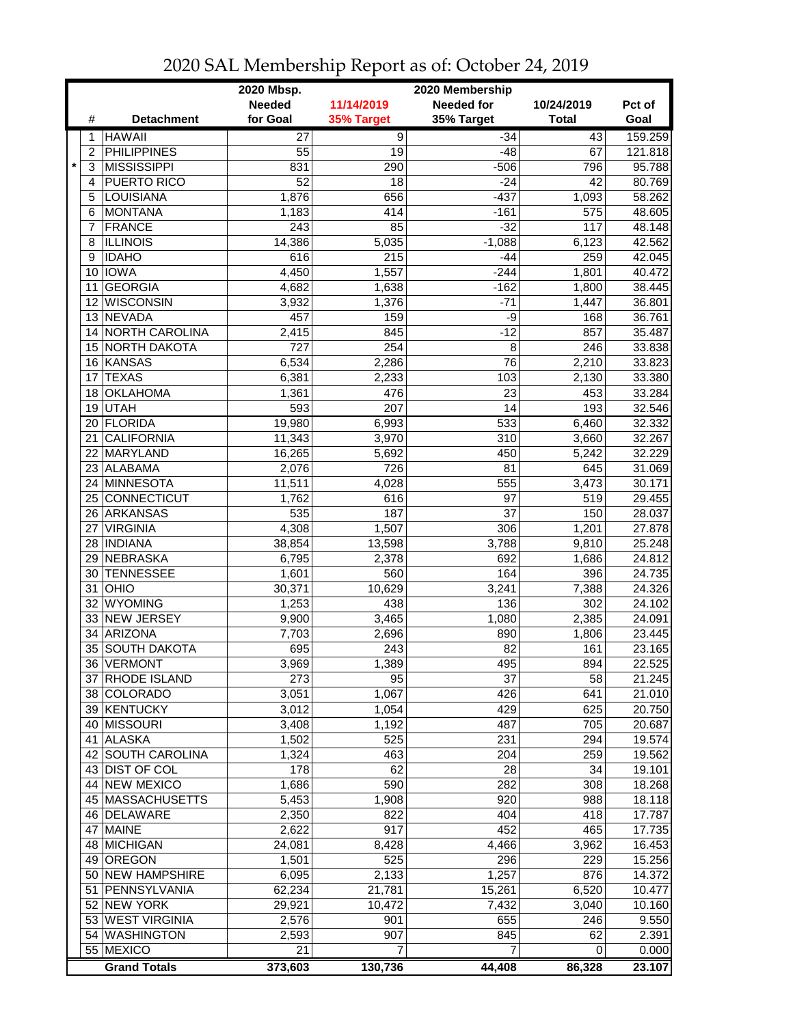|         |      |                     | 2020 Mbsp.      | 2020 Membership |                   |              |         |  |
|---------|------|---------------------|-----------------|-----------------|-------------------|--------------|---------|--|
|         |      |                     | <b>Needed</b>   | 11/14/2019      | <b>Needed for</b> | 10/24/2019   | Pct of  |  |
|         | #    | <b>Detachment</b>   | for Goal        | 35% Target      | 35% Target        | <b>Total</b> | Goal    |  |
|         | 1    | <b>HAWAII</b>       | $\overline{27}$ | $\overline{9}$  | $-34$             | 43           | 159.259 |  |
|         | 2    | <b>PHILIPPINES</b>  | 55              | 19              | $-48$             | 67           | 121.818 |  |
| $\star$ | 3    | <b>MISSISSIPPI</b>  | 831             | 290             | $-506$            | 796          | 95.788  |  |
|         | 4    | PUERTO RICO         | 52              | 18              | $-24$             | 42           | 80.769  |  |
|         | 5    | LOUISIANA           | 1,876           | 656             | $-437$            | 1,093        | 58.262  |  |
|         | 6    | <b>MONTANA</b>      | 1,183           | 414             | $-161$            | 575          | 48.605  |  |
|         | 7    | <b>FRANCE</b>       | 243             | 85              | $-32$             | 117          | 48.148  |  |
|         | 8    | <b>ILLINOIS</b>     | 14,386          | 5,035           | $-1,088$          | 6,123        | 42.562  |  |
|         | 9    | <b>IDAHO</b>        | 616             | 215             | $-44$             | 259          | 42.045  |  |
|         |      | 10 IOWA             | 4,450           | 1,557           | $-244$            | 1,801        | 40.472  |  |
|         | 11   | <b>GEORGIA</b>      | 4,682           | 1,638           | $-162$            | 1,800        | 38.445  |  |
|         |      | 12 WISCONSIN        | 3,932           | 1,376           | $-71$             | 1,447        | 36.801  |  |
|         |      | 13 NEVADA           | 457             | 159             | -9                | 168          | 36.761  |  |
|         |      | 14 NORTH CAROLINA   | 2,415           | 845             | $-12$             | 857          | 35.487  |  |
|         |      | 15 NORTH DAKOTA     | 727             | 254             | 8                 | 246          | 33.838  |  |
|         |      | 16 KANSAS           | 6,534           | 2,286           | 76                | 2,210        | 33.823  |  |
|         | 17   | <b>TEXAS</b>        | 6,381           | 2,233           | 103               | 2,130        | 33.380  |  |
|         |      | 18 OKLAHOMA         | 1,361           | 476             | 23                | 453          | 33.284  |  |
|         |      | 19 UTAH             | 593             | 207             | 14                | 193          | 32.546  |  |
|         |      | 20 FLORIDA          | 19,980          | 6,993           | 533               | 6,460        | 32.332  |  |
|         | 21   | <b>CALIFORNIA</b>   | 11,343          | 3,970           | 310               | 3,660        | 32.267  |  |
|         | 22   | MARYLAND            | 16,265          | 5,692           | 450               | 5,242        | 32.229  |  |
|         | 23   | <b>ALABAMA</b>      | 2,076           | 726             | 81                | 645          | 31.069  |  |
|         |      | 24 MINNESOTA        | 11,511          | 4,028           | 555               | 3,473        | 30.171  |  |
|         |      | 25 CONNECTICUT      | 1,762           | 616             | 97                | 519          | 29.455  |  |
|         |      | 26 ARKANSAS         | 535             | 187             | 37                | 150          | 28.037  |  |
|         | 27 I | <b>VIRGINIA</b>     | 4,308           | 1,507           | 306               | 1,201        | 27.878  |  |
|         |      | 28   INDIANA        | 38,854          | 13,598          | 3,788             | 9,810        | 25.248  |  |
|         |      | 29 NEBRASKA         | 6,795           | 2,378           | 692               | 1,686        | 24.812  |  |
|         | 30   | <b>TENNESSEE</b>    | 1,601           | 560             | 164               | 396          | 24.735  |  |
|         | 31 I | OHIO                | 30,371          | 10,629          | 3,241             | 7,388        | 24.326  |  |
|         | 32   | <b>WYOMING</b>      | 1,253           | 438             | 136               | 302          | 24.102  |  |
|         |      | 33 NEW JERSEY       | 9,900           | 3,465           | 1,080             | 2,385        | 24.091  |  |
|         | 34   | <b>ARIZONA</b>      | 7,703           | 2,696           | 890               | 1,806        | 23.445  |  |
|         |      | 35 SOUTH DAKOTA     | 695             | 243             | 82                | 161          | 23.165  |  |
|         |      | 36 VERMONT          | 3,969           | 1,389           | 495               | 894          | 22.525  |  |
|         |      | 37 RHODE ISLAND     | 273             | 95              | 37                | 58           | 21.245  |  |
|         |      | 38 COLORADO         | 3,051           | 1,067           | 426               | 641          | 21.010  |  |
|         |      | 39 KENTUCKY         | 3,012           | 1,054           | 429               | 625          | 20.750  |  |
|         |      | 40 MISSOURI         | 3,408           | 1,192           | 487               | 705          | 20.687  |  |
|         |      | 41 ALASKA           | 1,502           | 525             | 231               | 294          | 19.574  |  |
|         |      | 42 SOUTH CAROLINA   | 1,324           | 463             | 204               | 259          | 19.562  |  |
|         |      | 43 DIST OF COL      | 178             | 62              | 28                | 34           | 19.101  |  |
|         |      | 44 NEW MEXICO       | 1,686           | 590             | 282               | 308          | 18.268  |  |
|         |      | 45 MASSACHUSETTS    | 5,453           | 1,908           | 920               | 988          | 18.118  |  |
|         |      | 46 DELAWARE         | 2,350           | 822             | 404               | 418          | 17.787  |  |
|         |      | 47 MAINE            | 2,622           | 917             | 452               | 465          | 17.735  |  |
|         |      | 48 MICHIGAN         | 24,081          | 8,428           | 4,466             | 3,962        | 16.453  |  |
|         |      | 49 OREGON           | 1,501           | 525             | 296               | 229          | 15.256  |  |
|         |      | 50 NEW HAMPSHIRE    | 6,095           | 2,133           | 1,257             | 876          | 14.372  |  |
|         |      | 51 PENNSYLVANIA     | 62,234          | 21,781          | 15,261            | 6,520        | 10.477  |  |
|         |      | 52 NEW YORK         |                 |                 |                   |              | 10.160  |  |
|         |      | 53 WEST VIRGINIA    | 29,921          | 10,472          | 7,432             | 3,040        | 9.550   |  |
|         |      |                     | 2,576           | 901             | 655               | 246          |         |  |
|         |      | 54 WASHINGTON       | 2,593           | 907             | 845               | 62           | 2.391   |  |
|         |      | 55 MEXICO           | 21              | 7               | 7                 | 0            | 0.000   |  |
|         |      | <b>Grand Totals</b> | 373,603         | 130,736         | 44,408            | 86,328       | 23.107  |  |

## 2020 SAL Membership Report as of: October 24, 2019